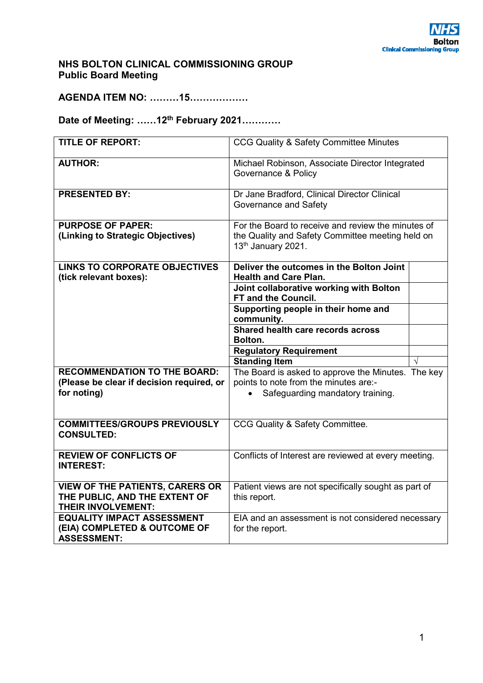## **NHS BOLTON CLINICAL COMMISSIONING GROUP Public Board Meeting**

**AGENDA ITEM NO: ………15………………** 

# **Date of Meeting: ……12th February 2021…………**

| <b>TITLE OF REPORT:</b>                                                                              | CCG Quality & Safety Committee Minutes                                     |  |
|------------------------------------------------------------------------------------------------------|----------------------------------------------------------------------------|--|
| <b>AUTHOR:</b>                                                                                       | Michael Robinson, Associate Director Integrated<br>Governance & Policy     |  |
| <b>PRESENTED BY:</b>                                                                                 | Dr Jane Bradford, Clinical Director Clinical<br>Governance and Safety      |  |
| <b>PURPOSE OF PAPER:</b>                                                                             | For the Board to receive and review the minutes of                         |  |
| (Linking to Strategic Objectives)                                                                    | the Quality and Safety Committee meeting held on<br>13th January 2021.     |  |
| <b>LINKS TO CORPORATE OBJECTIVES</b><br>(tick relevant boxes):                                       | Deliver the outcomes in the Bolton Joint<br><b>Health and Care Plan.</b>   |  |
|                                                                                                      | Joint collaborative working with Bolton                                    |  |
|                                                                                                      | FT and the Council.                                                        |  |
|                                                                                                      | Supporting people in their home and                                        |  |
|                                                                                                      | community.                                                                 |  |
|                                                                                                      | Shared health care records across                                          |  |
|                                                                                                      | Bolton.                                                                    |  |
|                                                                                                      | <b>Regulatory Requirement</b>                                              |  |
| <b>RECOMMENDATION TO THE BOARD:</b>                                                                  | <b>Standing Item</b><br>The Board is asked to approve the Minutes. The key |  |
| (Please be clear if decision required, or                                                            | points to note from the minutes are:-                                      |  |
| for noting)                                                                                          | Safeguarding mandatory training.                                           |  |
|                                                                                                      |                                                                            |  |
| <b>COMMITTEES/GROUPS PREVIOUSLY</b><br><b>CONSULTED:</b>                                             | CCG Quality & Safety Committee.                                            |  |
| <b>REVIEW OF CONFLICTS OF</b><br><b>INTEREST:</b>                                                    | Conflicts of Interest are reviewed at every meeting.                       |  |
| <b>VIEW OF THE PATIENTS, CARERS OR</b><br>THE PUBLIC, AND THE EXTENT OF<br><b>THEIR INVOLVEMENT:</b> | Patient views are not specifically sought as part of<br>this report.       |  |
| <b>EQUALITY IMPACT ASSESSMENT</b><br>(EIA) COMPLETED & OUTCOME OF<br><b>ASSESSMENT:</b>              | EIA and an assessment is not considered necessary<br>for the report.       |  |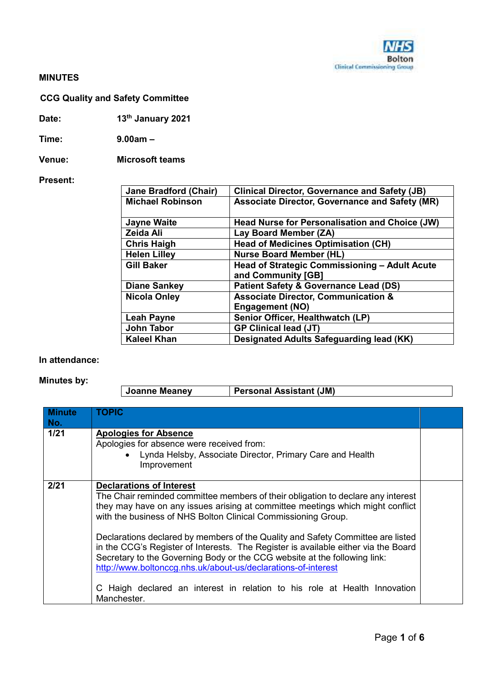### **MINUTES**

# **CCG Quality and Safety Committee**

**Date: 13th January 2021** 

**Time: 9.00am –** 

**Venue: Microsoft teams** 

#### **Present:**

| <b>Jane Bradford (Chair)</b> | <b>Clinical Director, Governance and Safety (JB)</b>  |
|------------------------------|-------------------------------------------------------|
| <b>Michael Robinson</b>      | <b>Associate Director, Governance and Safety (MR)</b> |
|                              |                                                       |
| <b>Jayne Waite</b>           | <b>Head Nurse for Personalisation and Choice (JW)</b> |
| Zeida Ali                    | Lay Board Member (ZA)                                 |
| <b>Chris Haigh</b>           | <b>Head of Medicines Optimisation (CH)</b>            |
| <b>Helen Lilley</b>          | <b>Nurse Board Member (HL)</b>                        |
| <b>Gill Baker</b>            | Head of Strategic Commissioning - Adult Acute         |
|                              | and Community [GB]                                    |
| <b>Diane Sankey</b>          | <b>Patient Safety &amp; Governance Lead (DS)</b>      |
| <b>Nicola Onley</b>          | <b>Associate Director, Communication &amp;</b>        |
|                              | <b>Engagement (NO)</b>                                |
| <b>Leah Payne</b>            | Senior Officer, Healthwatch (LP)                      |
| John Tabor                   | <b>GP Clinical lead (JT)</b>                          |
| <b>Kaleel Khan</b>           | Designated Adults Safeguarding lead (KK)              |

#### **In attendance:**

## **Minutes by:**

| Personal Assistant (JM)<br>Joanne Meaney |  |
|------------------------------------------|--|
|------------------------------------------|--|

| <b>Minute</b><br>No. | <b>TOPIC</b>                                                                                                                                                                                                                                                                                                                                                                                                                                                                                                                                                                                                                                                                              |  |
|----------------------|-------------------------------------------------------------------------------------------------------------------------------------------------------------------------------------------------------------------------------------------------------------------------------------------------------------------------------------------------------------------------------------------------------------------------------------------------------------------------------------------------------------------------------------------------------------------------------------------------------------------------------------------------------------------------------------------|--|
| 1/21                 | <b>Apologies for Absence</b><br>Apologies for absence were received from:<br>• Lynda Helsby, Associate Director, Primary Care and Health<br>Improvement                                                                                                                                                                                                                                                                                                                                                                                                                                                                                                                                   |  |
| 2/21                 | <b>Declarations of Interest</b><br>The Chair reminded committee members of their obligation to declare any interest<br>they may have on any issues arising at committee meetings which might conflict<br>with the business of NHS Bolton Clinical Commissioning Group.<br>Declarations declared by members of the Quality and Safety Committee are listed<br>in the CCG's Register of Interests. The Register is available either via the Board<br>Secretary to the Governing Body or the CCG website at the following link:<br>http://www.boltonccg.nhs.uk/about-us/declarations-of-interest<br>C Haigh declared an interest in relation to his role at Health Innovation<br>Manchester. |  |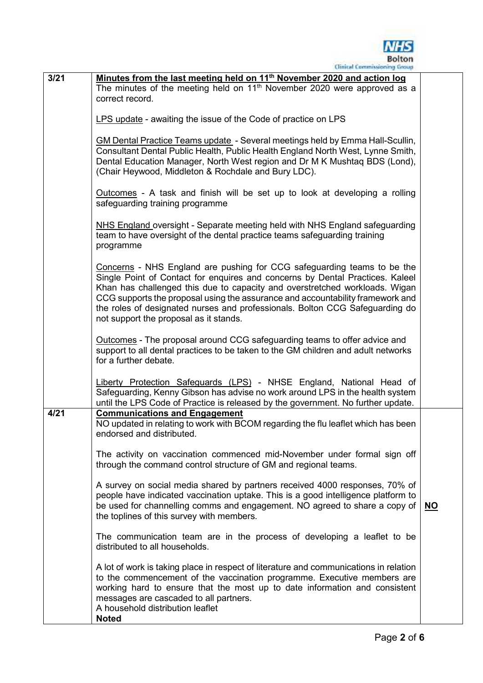

| 3/21 |                                                                                                                                                                                                                                                                                                                                                                                                                                                     |           |
|------|-----------------------------------------------------------------------------------------------------------------------------------------------------------------------------------------------------------------------------------------------------------------------------------------------------------------------------------------------------------------------------------------------------------------------------------------------------|-----------|
|      | Minutes from the last meeting held on 11 <sup>th</sup> November 2020 and action log<br>The minutes of the meeting held on $11th$ November 2020 were approved as a<br>correct record.                                                                                                                                                                                                                                                                |           |
|      |                                                                                                                                                                                                                                                                                                                                                                                                                                                     |           |
|      | LPS update - awaiting the issue of the Code of practice on LPS                                                                                                                                                                                                                                                                                                                                                                                      |           |
|      | GM Dental Practice Teams update - Several meetings held by Emma Hall-Scullin,<br>Consultant Dental Public Health, Public Health England North West, Lynne Smith,<br>Dental Education Manager, North West region and Dr M K Mushtag BDS (Lond),<br>(Chair Heywood, Middleton & Rochdale and Bury LDC).                                                                                                                                               |           |
|      | Outcomes - A task and finish will be set up to look at developing a rolling<br>safeguarding training programme                                                                                                                                                                                                                                                                                                                                      |           |
|      | NHS England oversight - Separate meeting held with NHS England safeguarding<br>team to have oversight of the dental practice teams safeguarding training<br>programme                                                                                                                                                                                                                                                                               |           |
|      | Concerns - NHS England are pushing for CCG safeguarding teams to be the<br>Single Point of Contact for enquires and concerns by Dental Practices. Kaleel<br>Khan has challenged this due to capacity and overstretched workloads. Wigan<br>CCG supports the proposal using the assurance and accountability framework and<br>the roles of designated nurses and professionals. Bolton CCG Safeguarding do<br>not support the proposal as it stands. |           |
|      | Outcomes - The proposal around CCG safeguarding teams to offer advice and<br>support to all dental practices to be taken to the GM children and adult networks<br>for a further debate.                                                                                                                                                                                                                                                             |           |
|      | Liberty Protection Safeguards (LPS) - NHSE England, National Head of<br>Safeguarding, Kenny Gibson has advise no work around LPS in the health system<br>until the LPS Code of Practice is released by the government. No further update.                                                                                                                                                                                                           |           |
| 4/21 | <b>Communications and Engagement</b><br>NO updated in relating to work with BCOM regarding the flu leaflet which has been<br>endorsed and distributed.                                                                                                                                                                                                                                                                                              |           |
|      | The activity on vaccination commenced mid-November under formal sign off<br>through the command control structure of GM and regional teams.                                                                                                                                                                                                                                                                                                         |           |
|      | A survey on social media shared by partners received 4000 responses, 70% of<br>people have indicated vaccination uptake. This is a good intelligence platform to<br>be used for channelling comms and engagement. NO agreed to share a copy of<br>the toplines of this survey with members.                                                                                                                                                         | <u>NO</u> |
|      | The communication team are in the process of developing a leaflet to be<br>distributed to all households.                                                                                                                                                                                                                                                                                                                                           |           |
|      | A lot of work is taking place in respect of literature and communications in relation<br>to the commencement of the vaccination programme. Executive members are<br>working hard to ensure that the most up to date information and consistent<br>messages are cascaded to all partners.<br>A household distribution leaflet<br><b>Noted</b>                                                                                                        |           |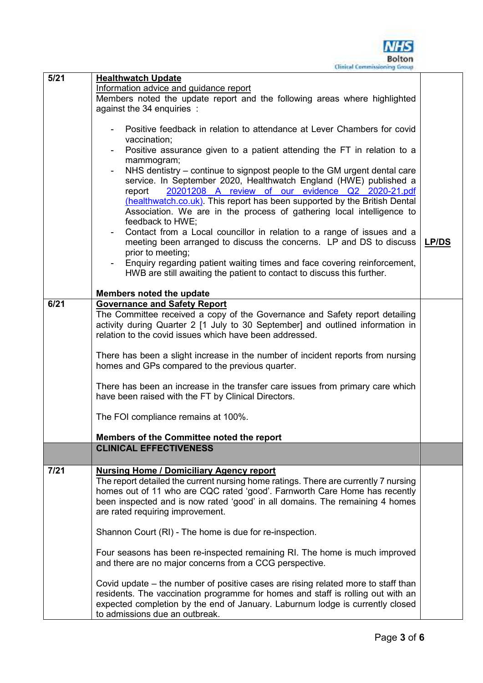

| 5/21 | <b>Healthwatch Update</b>                                                                                                                                                                                                                                                                                                                                                             |              |
|------|---------------------------------------------------------------------------------------------------------------------------------------------------------------------------------------------------------------------------------------------------------------------------------------------------------------------------------------------------------------------------------------|--------------|
|      | Information advice and guidance report                                                                                                                                                                                                                                                                                                                                                |              |
|      | Members noted the update report and the following areas where highlighted                                                                                                                                                                                                                                                                                                             |              |
|      | against the 34 enquiries :                                                                                                                                                                                                                                                                                                                                                            |              |
|      | Positive feedback in relation to attendance at Lever Chambers for covid                                                                                                                                                                                                                                                                                                               |              |
|      | vaccination;                                                                                                                                                                                                                                                                                                                                                                          |              |
|      | Positive assurance given to a patient attending the FT in relation to a<br>mammogram;                                                                                                                                                                                                                                                                                                 |              |
|      | NHS dentistry – continue to signpost people to the GM urgent dental care<br>service. In September 2020, Healthwatch England (HWE) published a<br>20201208 A review of our evidence Q2 2020-21.pdf<br>report<br>(healthwatch.co.uk). This report has been supported by the British Dental<br>Association. We are in the process of gathering local intelligence to<br>feedback to HWE; |              |
|      | Contact from a Local councillor in relation to a range of issues and a<br>meeting been arranged to discuss the concerns. LP and DS to discuss                                                                                                                                                                                                                                         | <b>LP/DS</b> |
|      | prior to meeting;<br>Enquiry regarding patient waiting times and face covering reinforcement,<br>HWB are still awaiting the patient to contact to discuss this further.                                                                                                                                                                                                               |              |
|      |                                                                                                                                                                                                                                                                                                                                                                                       |              |
| 6/21 | Members noted the update<br><b>Governance and Safety Report</b>                                                                                                                                                                                                                                                                                                                       |              |
|      | The Committee received a copy of the Governance and Safety report detailing<br>activity during Quarter 2 [1 July to 30 September] and outlined information in<br>relation to the covid issues which have been addressed.                                                                                                                                                              |              |
|      | There has been a slight increase in the number of incident reports from nursing<br>homes and GPs compared to the previous quarter.                                                                                                                                                                                                                                                    |              |
|      | There has been an increase in the transfer care issues from primary care which<br>have been raised with the FT by Clinical Directors.                                                                                                                                                                                                                                                 |              |
|      | The FOI compliance remains at 100%.                                                                                                                                                                                                                                                                                                                                                   |              |
|      | Members of the Committee noted the report                                                                                                                                                                                                                                                                                                                                             |              |
|      | <b>CLINICAL EFFECTIVENESS</b>                                                                                                                                                                                                                                                                                                                                                         |              |
| 7/21 | <b>Nursing Home / Domiciliary Agency report</b><br>The report detailed the current nursing home ratings. There are currently 7 nursing<br>homes out of 11 who are CQC rated 'good'. Farnworth Care Home has recently<br>been inspected and is now rated 'good' in all domains. The remaining 4 homes<br>are rated requiring improvement.                                              |              |
|      | Shannon Court (RI) - The home is due for re-inspection.                                                                                                                                                                                                                                                                                                                               |              |
|      | Four seasons has been re-inspected remaining RI. The home is much improved<br>and there are no major concerns from a CCG perspective.                                                                                                                                                                                                                                                 |              |
|      | Covid update – the number of positive cases are rising related more to staff than<br>residents. The vaccination programme for homes and staff is rolling out with an<br>expected completion by the end of January. Laburnum lodge is currently closed<br>to admissions due an outbreak.                                                                                               |              |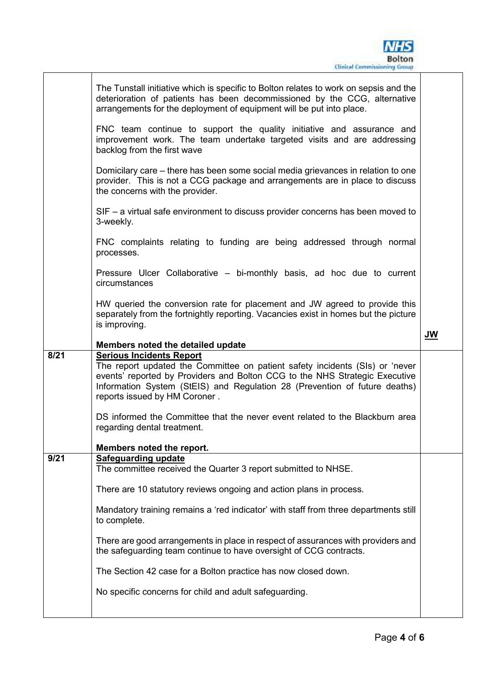|      | The Tunstall initiative which is specific to Bolton relates to work on sepsis and the<br>deterioration of patients has been decommissioned by the CCG, alternative<br>arrangements for the deployment of equipment will be put into place.                                                                    |    |
|------|---------------------------------------------------------------------------------------------------------------------------------------------------------------------------------------------------------------------------------------------------------------------------------------------------------------|----|
|      | FNC team continue to support the quality initiative and assurance and<br>improvement work. The team undertake targeted visits and are addressing<br>backlog from the first wave                                                                                                                               |    |
|      | Domicilary care – there has been some social media grievances in relation to one<br>provider. This is not a CCG package and arrangements are in place to discuss<br>the concerns with the provider.                                                                                                           |    |
|      | $SIF - a$ virtual safe environment to discuss provider concerns has been moved to<br>3-weekly.                                                                                                                                                                                                                |    |
|      | FNC complaints relating to funding are being addressed through normal<br>processes.                                                                                                                                                                                                                           |    |
|      | Pressure Ulcer Collaborative - bi-monthly basis, ad hoc due to current<br>circumstances                                                                                                                                                                                                                       |    |
|      | HW queried the conversion rate for placement and JW agreed to provide this<br>separately from the fortnightly reporting. Vacancies exist in homes but the picture<br>is improving.                                                                                                                            |    |
|      | Members noted the detailed update                                                                                                                                                                                                                                                                             | JW |
|      |                                                                                                                                                                                                                                                                                                               |    |
| 8/21 | <b>Serious Incidents Report</b><br>The report updated the Committee on patient safety incidents (SIs) or 'never<br>events' reported by Providers and Bolton CCG to the NHS Strategic Executive<br>Information System (StEIS) and Regulation 28 (Prevention of future deaths)<br>reports issued by HM Coroner. |    |
|      | DS informed the Committee that the never event related to the Blackburn area<br>regarding dental treatment.                                                                                                                                                                                                   |    |
|      | Members noted the report.                                                                                                                                                                                                                                                                                     |    |
| 9/21 | <b>Safeguarding update</b>                                                                                                                                                                                                                                                                                    |    |
|      | The committee received the Quarter 3 report submitted to NHSE.                                                                                                                                                                                                                                                |    |
|      | There are 10 statutory reviews ongoing and action plans in process.                                                                                                                                                                                                                                           |    |
|      | Mandatory training remains a 'red indicator' with staff from three departments still<br>to complete.                                                                                                                                                                                                          |    |
|      | There are good arrangements in place in respect of assurances with providers and<br>the safeguarding team continue to have oversight of CCG contracts.                                                                                                                                                        |    |
|      | The Section 42 case for a Bolton practice has now closed down.                                                                                                                                                                                                                                                |    |
|      | No specific concerns for child and adult safeguarding.                                                                                                                                                                                                                                                        |    |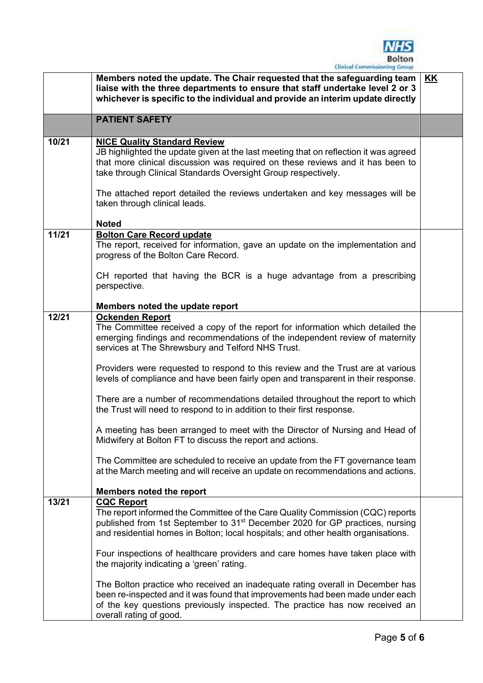

|       | Clinical Commissioning Group-                                                                                                                                                                                                                                            |           |
|-------|--------------------------------------------------------------------------------------------------------------------------------------------------------------------------------------------------------------------------------------------------------------------------|-----------|
|       | Members noted the update. The Chair requested that the safeguarding team<br>liaise with the three departments to ensure that staff undertake level 2 or 3<br>whichever is specific to the individual and provide an interim update directly                              | <b>KK</b> |
|       | <b>PATIENT SAFETY</b>                                                                                                                                                                                                                                                    |           |
| 10/21 | <b>NICE Quality Standard Review</b>                                                                                                                                                                                                                                      |           |
|       | JB highlighted the update given at the last meeting that on reflection it was agreed<br>that more clinical discussion was required on these reviews and it has been to<br>take through Clinical Standards Oversight Group respectively.                                  |           |
|       | The attached report detailed the reviews undertaken and key messages will be<br>taken through clinical leads.                                                                                                                                                            |           |
|       | <b>Noted</b>                                                                                                                                                                                                                                                             |           |
| 11/21 | <b>Bolton Care Record update</b><br>The report, received for information, gave an update on the implementation and<br>progress of the Bolton Care Record.                                                                                                                |           |
|       | CH reported that having the BCR is a huge advantage from a prescribing<br>perspective.                                                                                                                                                                                   |           |
|       | Members noted the update report                                                                                                                                                                                                                                          |           |
| 12/21 | <b>Ockenden Report</b>                                                                                                                                                                                                                                                   |           |
|       | The Committee received a copy of the report for information which detailed the<br>emerging findings and recommendations of the independent review of maternity<br>services at The Shrewsbury and Telford NHS Trust.                                                      |           |
|       | Providers were requested to respond to this review and the Trust are at various<br>levels of compliance and have been fairly open and transparent in their response.                                                                                                     |           |
|       | There are a number of recommendations detailed throughout the report to which<br>the Trust will need to respond to in addition to their first response.                                                                                                                  |           |
|       | A meeting has been arranged to meet with the Director of Nursing and Head of<br>Midwifery at Bolton FT to discuss the report and actions.                                                                                                                                |           |
|       | The Committee are scheduled to receive an update from the FT governance team<br>at the March meeting and will receive an update on recommendations and actions.                                                                                                          |           |
|       | <b>Members noted the report</b>                                                                                                                                                                                                                                          |           |
| 13/21 | <b>CQC Report</b>                                                                                                                                                                                                                                                        |           |
|       | The report informed the Committee of the Care Quality Commission (CQC) reports<br>published from 1st September to 31 <sup>st</sup> December 2020 for GP practices, nursing<br>and residential homes in Bolton; local hospitals; and other health organisations.          |           |
|       | Four inspections of healthcare providers and care homes have taken place with<br>the majority indicating a 'green' rating.                                                                                                                                               |           |
|       | The Bolton practice who received an inadequate rating overall in December has<br>been re-inspected and it was found that improvements had been made under each<br>of the key questions previously inspected. The practice has now received an<br>overall rating of good. |           |